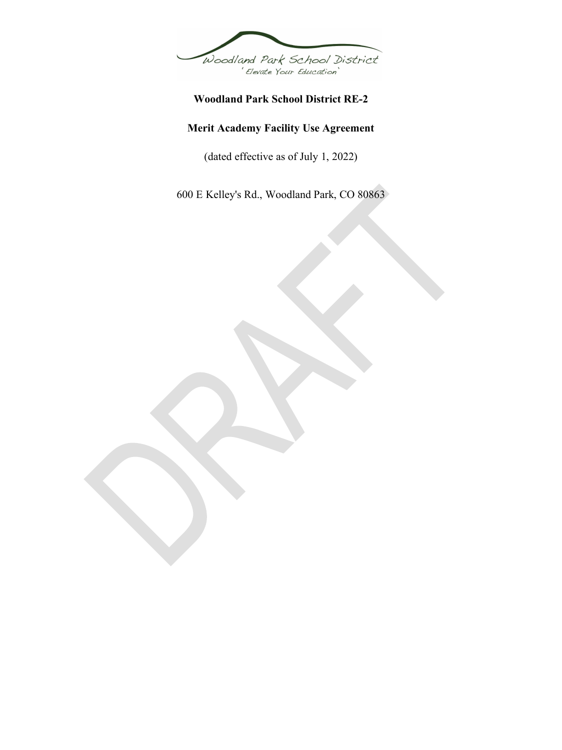

# **Woodland Park School District RE-2**

# **Merit Academy Facility Use Agreement**

(dated effective as of July 1, 2022)

600 E Kelley's Rd., Woodland Park, CO 80863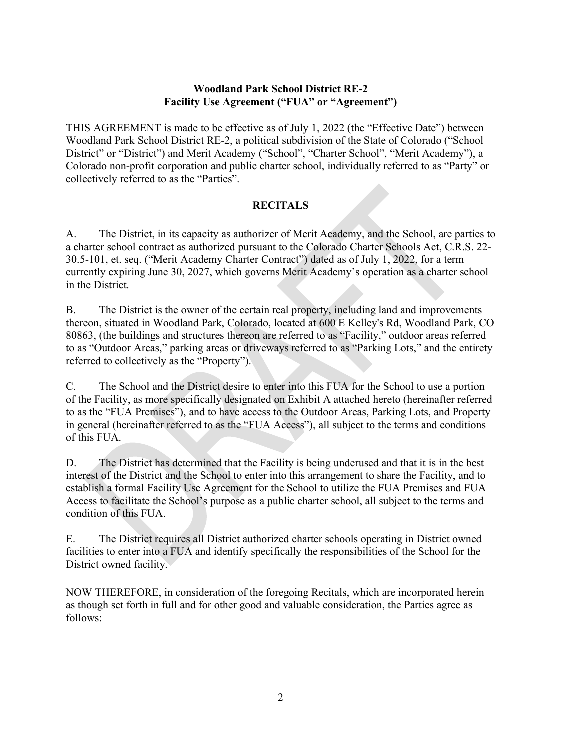## **Woodland Park School District RE-2 Facility Use Agreement ("FUA" or "Agreement")**

THIS AGREEMENT is made to be effective as of July 1, 2022 (the "Effective Date") between Woodland Park School District RE-2, a political subdivision of the State of Colorado ("School District" or "District") and Merit Academy ("School", "Charter School", "Merit Academy"), a Colorado non-profit corporation and public charter school, individually referred to as "Party" or collectively referred to as the "Parties".

## **RECITALS**

A. The District, in its capacity as authorizer of Merit Academy, and the School, are parties to a charter school contract as authorized pursuant to the Colorado Charter Schools Act, C.R.S. 22- 30.5-101, et. seq. ("Merit Academy Charter Contract") dated as of July 1, 2022, for a term currently expiring June 30, 2027, which governs Merit Academy's operation as a charter school in the District.

B. The District is the owner of the certain real property, including land and improvements thereon, situated in Woodland Park, Colorado, located at 600 E Kelley's Rd, Woodland Park, CO 80863, (the buildings and structures thereon are referred to as "Facility," outdoor areas referred to as "Outdoor Areas," parking areas or driveways referred to as "Parking Lots," and the entirety referred to collectively as the "Property").

C. The School and the District desire to enter into this FUA for the School to use a portion of the Facility, as more specifically designated on Exhibit A attached hereto (hereinafter referred to as the "FUA Premises"), and to have access to the Outdoor Areas, Parking Lots, and Property in general (hereinafter referred to as the "FUA Access"), all subject to the terms and conditions of this FUA.

D. The District has determined that the Facility is being underused and that it is in the best interest of the District and the School to enter into this arrangement to share the Facility, and to establish a formal Facility Use Agreement for the School to utilize the FUA Premises and FUA Access to facilitate the School's purpose as a public charter school, all subject to the terms and condition of this FUA.

E. The District requires all District authorized charter schools operating in District owned facilities to enter into a FUA and identify specifically the responsibilities of the School for the District owned facility.

NOW THEREFORE, in consideration of the foregoing Recitals, which are incorporated herein as though set forth in full and for other good and valuable consideration, the Parties agree as follows: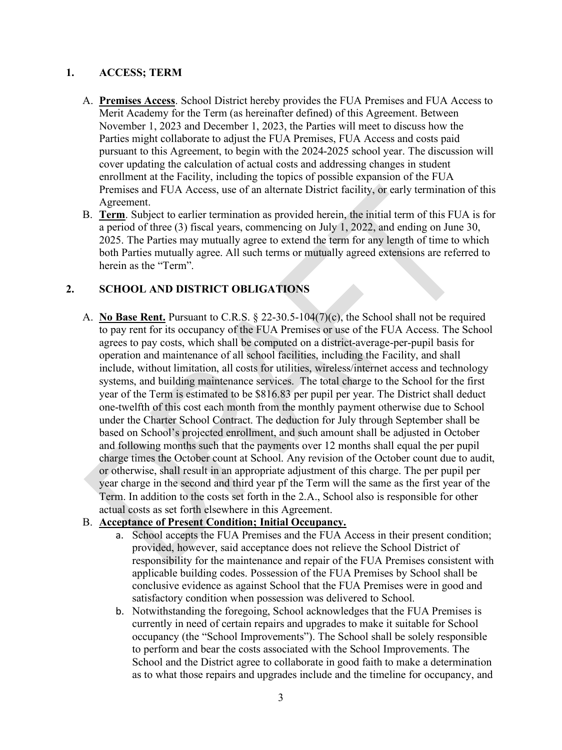#### **1. ACCESS; TERM**

- A. **Premises Access**. School District hereby provides the FUA Premises and FUA Access to Merit Academy for the Term (as hereinafter defined) of this Agreement. Between November 1, 2023 and December 1, 2023, the Parties will meet to discuss how the Parties might collaborate to adjust the FUA Premises, FUA Access and costs paid pursuant to this Agreement, to begin with the 2024-2025 school year. The discussion will cover updating the calculation of actual costs and addressing changes in student enrollment at the Facility, including the topics of possible expansion of the FUA Premises and FUA Access, use of an alternate District facility, or early termination of this Agreement.
- B. **Term**. Subject to earlier termination as provided herein, the initial term of this FUA is for a period of three (3) fiscal years, commencing on July 1, 2022, and ending on June 30, 2025. The Parties may mutually agree to extend the term for any length of time to which both Parties mutually agree. All such terms or mutually agreed extensions are referred to herein as the "Term".

## **2. SCHOOL AND DISTRICT OBLIGATIONS**

A. **No Base Rent.** Pursuant to C.R.S. § 22-30.5-104(7)(c), the School shall not be required to pay rent for its occupancy of the FUA Premises or use of the FUA Access. The School agrees to pay costs, which shall be computed on a district-average-per-pupil basis for operation and maintenance of all school facilities, including the Facility, and shall include, without limitation, all costs for utilities, wireless/internet access and technology systems, and building maintenance services. The total charge to the School for the first year of the Term is estimated to be \$816.83 per pupil per year. The District shall deduct one-twelfth of this cost each month from the monthly payment otherwise due to School under the Charter School Contract. The deduction for July through September shall be based on School's projected enrollment, and such amount shall be adjusted in October and following months such that the payments over 12 months shall equal the per pupil charge times the October count at School. Any revision of the October count due to audit, or otherwise, shall result in an appropriate adjustment of this charge. The per pupil per year charge in the second and third year pf the Term will the same as the first year of the Term. In addition to the costs set forth in the 2.A., School also is responsible for other actual costs as set forth elsewhere in this Agreement.

#### B. **Acceptance of Present Condition; Initial Occupancy.**

- a. School accepts the FUA Premises and the FUA Access in their present condition; provided, however, said acceptance does not relieve the School District of responsibility for the maintenance and repair of the FUA Premises consistent with applicable building codes. Possession of the FUA Premises by School shall be conclusive evidence as against School that the FUA Premises were in good and satisfactory condition when possession was delivered to School.
- b. Notwithstanding the foregoing, School acknowledges that the FUA Premises is currently in need of certain repairs and upgrades to make it suitable for School occupancy (the "School Improvements"). The School shall be solely responsible to perform and bear the costs associated with the School Improvements. The School and the District agree to collaborate in good faith to make a determination as to what those repairs and upgrades include and the timeline for occupancy, and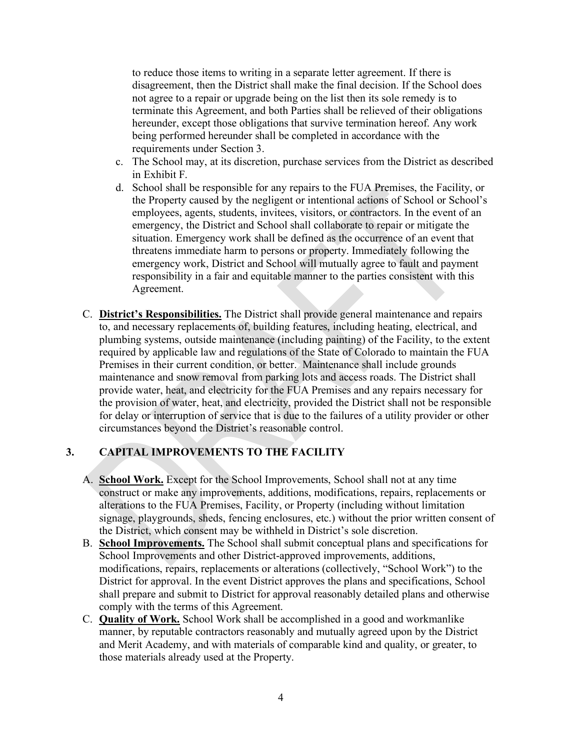to reduce those items to writing in a separate letter agreement. If there is disagreement, then the District shall make the final decision. If the School does not agree to a repair or upgrade being on the list then its sole remedy is to terminate this Agreement, and both Parties shall be relieved of their obligations hereunder, except those obligations that survive termination hereof. Any work being performed hereunder shall be completed in accordance with the requirements under Section 3.

- c. The School may, at its discretion, purchase services from the District as described in Exhibit F.
- d. School shall be responsible for any repairs to the FUA Premises, the Facility, or the Property caused by the negligent or intentional actions of School or School's employees, agents, students, invitees, visitors, or contractors. In the event of an emergency, the District and School shall collaborate to repair or mitigate the situation. Emergency work shall be defined as the occurrence of an event that threatens immediate harm to persons or property. Immediately following the emergency work, District and School will mutually agree to fault and payment responsibility in a fair and equitable manner to the parties consistent with this Agreement.
- C. **District's Responsibilities.** The District shall provide general maintenance and repairs to, and necessary replacements of, building features, including heating, electrical, and plumbing systems, outside maintenance (including painting) of the Facility, to the extent required by applicable law and regulations of the State of Colorado to maintain the FUA Premises in their current condition, or better. Maintenance shall include grounds maintenance and snow removal from parking lots and access roads. The District shall provide water, heat, and electricity for the FUA Premises and any repairs necessary for the provision of water, heat, and electricity, provided the District shall not be responsible for delay or interruption of service that is due to the failures of a utility provider or other circumstances beyond the District's reasonable control.

# **3. CAPITAL IMPROVEMENTS TO THE FACILITY**

- A. **School Work.** Except for the School Improvements, School shall not at any time construct or make any improvements, additions, modifications, repairs, replacements or alterations to the FUA Premises, Facility, or Property (including without limitation signage, playgrounds, sheds, fencing enclosures, etc.) without the prior written consent of the District, which consent may be withheld in District's sole discretion.
- B. **School Improvements.** The School shall submit conceptual plans and specifications for School Improvements and other District-approved improvements, additions, modifications, repairs, replacements or alterations (collectively, "School Work") to the District for approval. In the event District approves the plans and specifications, School shall prepare and submit to District for approval reasonably detailed plans and otherwise comply with the terms of this Agreement.
- C. **Quality of Work.** School Work shall be accomplished in a good and workmanlike manner, by reputable contractors reasonably and mutually agreed upon by the District and Merit Academy, and with materials of comparable kind and quality, or greater, to those materials already used at the Property.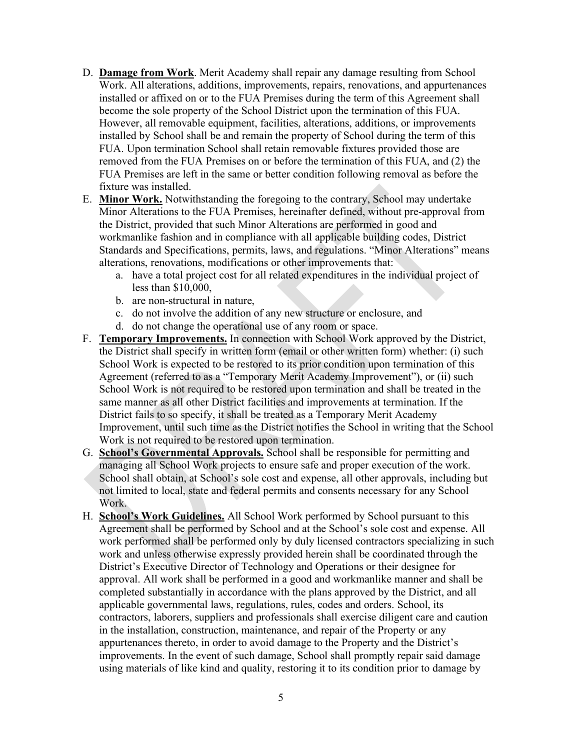- D. **Damage from Work**. Merit Academy shall repair any damage resulting from School Work. All alterations, additions, improvements, repairs, renovations, and appurtenances installed or affixed on or to the FUA Premises during the term of this Agreement shall become the sole property of the School District upon the termination of this FUA. However, all removable equipment, facilities, alterations, additions, or improvements installed by School shall be and remain the property of School during the term of this FUA. Upon termination School shall retain removable fixtures provided those are removed from the FUA Premises on or before the termination of this FUA, and (2) the FUA Premises are left in the same or better condition following removal as before the fixture was installed.
- E. **Minor Work.** Notwithstanding the foregoing to the contrary, School may undertake Minor Alterations to the FUA Premises, hereinafter defined, without pre-approval from the District, provided that such Minor Alterations are performed in good and workmanlike fashion and in compliance with all applicable building codes, District Standards and Specifications, permits, laws, and regulations. "Minor Alterations" means alterations, renovations, modifications or other improvements that:
	- a. have a total project cost for all related expenditures in the individual project of less than \$10,000,
	- b. are non-structural in nature,
	- c. do not involve the addition of any new structure or enclosure, and
	- d. do not change the operational use of any room or space.
- F. **Temporary Improvements.** In connection with School Work approved by the District, the District shall specify in written form (email or other written form) whether: (i) such School Work is expected to be restored to its prior condition upon termination of this Agreement (referred to as a "Temporary Merit Academy Improvement"), or (ii) such School Work is not required to be restored upon termination and shall be treated in the same manner as all other District facilities and improvements at termination. If the District fails to so specify, it shall be treated as a Temporary Merit Academy Improvement, until such time as the District notifies the School in writing that the School Work is not required to be restored upon termination.
- G. **School's Governmental Approvals.** School shall be responsible for permitting and managing all School Work projects to ensure safe and proper execution of the work. School shall obtain, at School's sole cost and expense, all other approvals, including but not limited to local, state and federal permits and consents necessary for any School Work.
- H. **School's Work Guidelines.** All School Work performed by School pursuant to this Agreement shall be performed by School and at the School's sole cost and expense. All work performed shall be performed only by duly licensed contractors specializing in such work and unless otherwise expressly provided herein shall be coordinated through the District's Executive Director of Technology and Operations or their designee for approval. All work shall be performed in a good and workmanlike manner and shall be completed substantially in accordance with the plans approved by the District, and all applicable governmental laws, regulations, rules, codes and orders. School, its contractors, laborers, suppliers and professionals shall exercise diligent care and caution in the installation, construction, maintenance, and repair of the Property or any appurtenances thereto, in order to avoid damage to the Property and the District's improvements. In the event of such damage, School shall promptly repair said damage using materials of like kind and quality, restoring it to its condition prior to damage by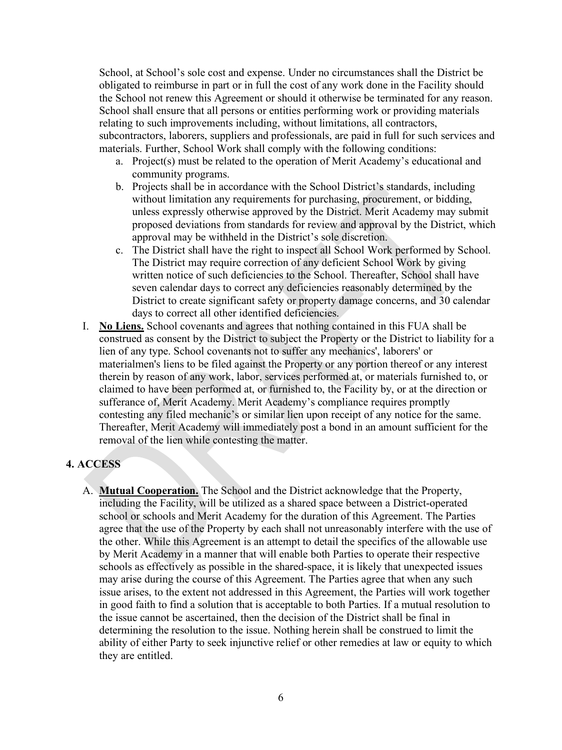School, at School's sole cost and expense. Under no circumstances shall the District be obligated to reimburse in part or in full the cost of any work done in the Facility should the School not renew this Agreement or should it otherwise be terminated for any reason. School shall ensure that all persons or entities performing work or providing materials relating to such improvements including, without limitations, all contractors, subcontractors, laborers, suppliers and professionals, are paid in full for such services and materials. Further, School Work shall comply with the following conditions:

- a. Project(s) must be related to the operation of Merit Academy's educational and community programs.
- b. Projects shall be in accordance with the School District's standards, including without limitation any requirements for purchasing, procurement, or bidding, unless expressly otherwise approved by the District. Merit Academy may submit proposed deviations from standards for review and approval by the District, which approval may be withheld in the District's sole discretion.
- c. The District shall have the right to inspect all School Work performed by School. The District may require correction of any deficient School Work by giving written notice of such deficiencies to the School. Thereafter, School shall have seven calendar days to correct any deficiencies reasonably determined by the District to create significant safety or property damage concerns, and 30 calendar days to correct all other identified deficiencies.
- I. **No Liens.** School covenants and agrees that nothing contained in this FUA shall be construed as consent by the District to subject the Property or the District to liability for a lien of any type. School covenants not to suffer any mechanics', laborers' or materialmen's liens to be filed against the Property or any portion thereof or any interest therein by reason of any work, labor, services performed at, or materials furnished to, or claimed to have been performed at, or furnished to, the Facility by, or at the direction or sufferance of, Merit Academy. Merit Academy's compliance requires promptly contesting any filed mechanic's or similar lien upon receipt of any notice for the same. Thereafter, Merit Academy will immediately post a bond in an amount sufficient for the removal of the lien while contesting the matter.

## **4. ACCESS**

A. **Mutual Cooperation.** The School and the District acknowledge that the Property, including the Facility, will be utilized as a shared space between a District-operated school or schools and Merit Academy for the duration of this Agreement. The Parties agree that the use of the Property by each shall not unreasonably interfere with the use of the other. While this Agreement is an attempt to detail the specifics of the allowable use by Merit Academy in a manner that will enable both Parties to operate their respective schools as effectively as possible in the shared-space, it is likely that unexpected issues may arise during the course of this Agreement. The Parties agree that when any such issue arises, to the extent not addressed in this Agreement, the Parties will work together in good faith to find a solution that is acceptable to both Parties. If a mutual resolution to the issue cannot be ascertained, then the decision of the District shall be final in determining the resolution to the issue. Nothing herein shall be construed to limit the ability of either Party to seek injunctive relief or other remedies at law or equity to which they are entitled.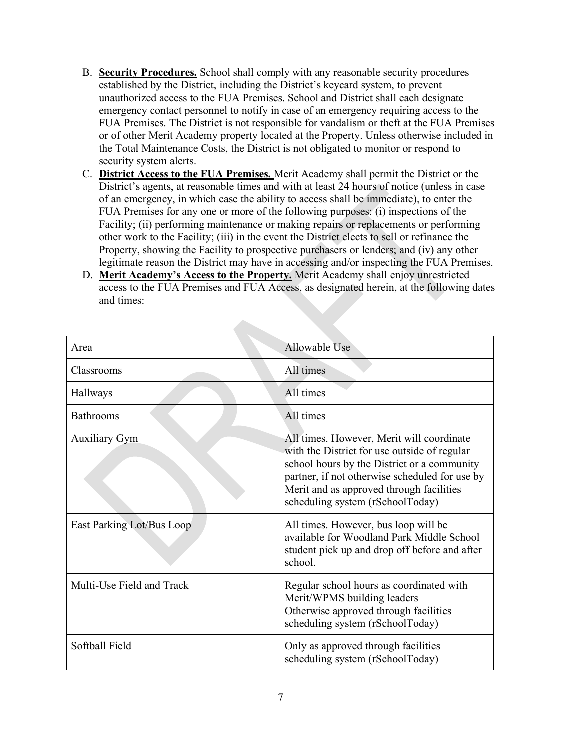- B. **Security Procedures.** School shall comply with any reasonable security procedures established by the District, including the District's keycard system, to prevent unauthorized access to the FUA Premises. School and District shall each designate emergency contact personnel to notify in case of an emergency requiring access to the FUA Premises. The District is not responsible for vandalism or theft at the FUA Premises or of other Merit Academy property located at the Property. Unless otherwise included in the Total Maintenance Costs, the District is not obligated to monitor or respond to security system alerts.
- C. **District Access to the FUA Premises.** Merit Academy shall permit the District or the District's agents, at reasonable times and with at least 24 hours of notice (unless in case of an emergency, in which case the ability to access shall be immediate), to enter the FUA Premises for any one or more of the following purposes: (i) inspections of the Facility; (ii) performing maintenance or making repairs or replacements or performing other work to the Facility; (iii) in the event the District elects to sell or refinance the Property, showing the Facility to prospective purchasers or lenders; and (iv) any other legitimate reason the District may have in accessing and/or inspecting the FUA Premises.
- D. **Merit Academy's Access to the Property.** Merit Academy shall enjoy unrestricted access to the FUA Premises and FUA Access, as designated herein, at the following dates and times:

| Area                      | Allowable Use                                                                                                                                                                                                                                                              |
|---------------------------|----------------------------------------------------------------------------------------------------------------------------------------------------------------------------------------------------------------------------------------------------------------------------|
| Classrooms                | All times                                                                                                                                                                                                                                                                  |
| Hallways                  | All times                                                                                                                                                                                                                                                                  |
| <b>Bathrooms</b>          | All times                                                                                                                                                                                                                                                                  |
| <b>Auxiliary Gym</b>      | All times. However, Merit will coordinate<br>with the District for use outside of regular<br>school hours by the District or a community<br>partner, if not otherwise scheduled for use by<br>Merit and as approved through facilities<br>scheduling system (rSchoolToday) |
| East Parking Lot/Bus Loop | All times. However, bus loop will be<br>available for Woodland Park Middle School<br>student pick up and drop off before and after<br>school.                                                                                                                              |
| Multi-Use Field and Track | Regular school hours as coordinated with<br>Merit/WPMS building leaders<br>Otherwise approved through facilities<br>scheduling system (rSchoolToday)                                                                                                                       |
| Softball Field            | Only as approved through facilities<br>scheduling system (rSchoolToday)                                                                                                                                                                                                    |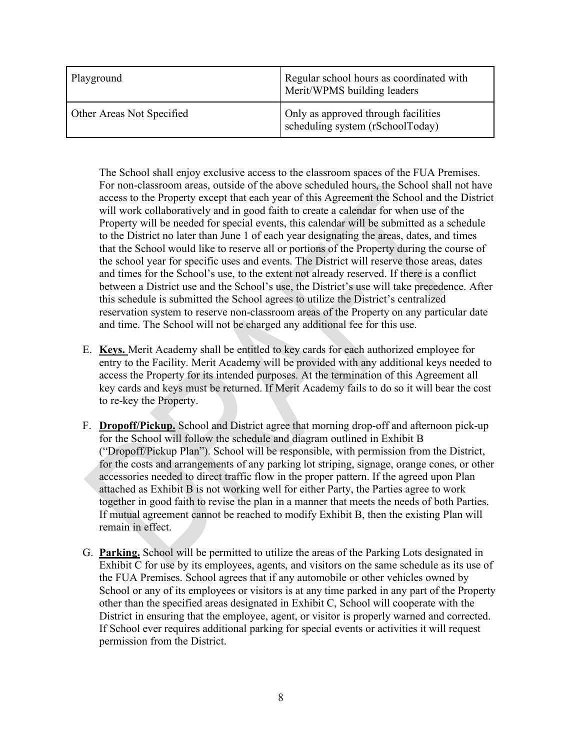| Playground                | Regular school hours as coordinated with<br>Merit/WPMS building leaders |
|---------------------------|-------------------------------------------------------------------------|
| Other Areas Not Specified | Only as approved through facilities<br>scheduling system (rSchoolToday) |

The School shall enjoy exclusive access to the classroom spaces of the FUA Premises. For non-classroom areas, outside of the above scheduled hours, the School shall not have access to the Property except that each year of this Agreement the School and the District will work collaboratively and in good faith to create a calendar for when use of the Property will be needed for special events, this calendar will be submitted as a schedule to the District no later than June 1 of each year designating the areas, dates, and times that the School would like to reserve all or portions of the Property during the course of the school year for specific uses and events. The District will reserve those areas, dates and times for the School's use, to the extent not already reserved. If there is a conflict between a District use and the School's use, the District's use will take precedence. After this schedule is submitted the School agrees to utilize the District's centralized reservation system to reserve non-classroom areas of the Property on any particular date and time. The School will not be charged any additional fee for this use.

- E. **Keys.** Merit Academy shall be entitled to key cards for each authorized employee for entry to the Facility. Merit Academy will be provided with any additional keys needed to access the Property for its intended purposes. At the termination of this Agreement all key cards and keys must be returned. If Merit Academy fails to do so it will bear the cost to re-key the Property.
- F. **Dropoff/Pickup.** School and District agree that morning drop-off and afternoon pick-up for the School will follow the schedule and diagram outlined in Exhibit B ("Dropoff/Pickup Plan"). School will be responsible, with permission from the District, for the costs and arrangements of any parking lot striping, signage, orange cones, or other accessories needed to direct traffic flow in the proper pattern. If the agreed upon Plan attached as Exhibit B is not working well for either Party, the Parties agree to work together in good faith to revise the plan in a manner that meets the needs of both Parties. If mutual agreement cannot be reached to modify Exhibit B, then the existing Plan will remain in effect.
- G. **Parking.** School will be permitted to utilize the areas of the Parking Lots designated in Exhibit C for use by its employees, agents, and visitors on the same schedule as its use of the FUA Premises. School agrees that if any automobile or other vehicles owned by School or any of its employees or visitors is at any time parked in any part of the Property other than the specified areas designated in Exhibit C, School will cooperate with the District in ensuring that the employee, agent, or visitor is properly warned and corrected. If School ever requires additional parking for special events or activities it will request permission from the District.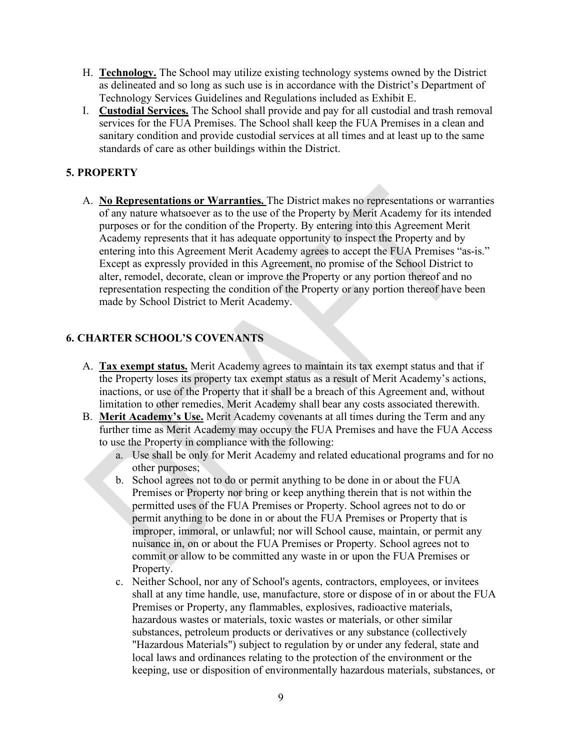- H. **Technology.** The School may utilize existing technology systems owned by the District as delineated and so long as such use is in accordance with the District's Department of Technology Services Guidelines and Regulations included as Exhibit E.
- I. **Custodial Services.** The School shall provide and pay for all custodial and trash removal services for the FUA Premises. The School shall keep the FUA Premises in a clean and sanitary condition and provide custodial services at all times and at least up to the same standards of care as other buildings within the District.

## **5. PROPERTY**

A. **No Representations or Warranties.** The District makes no representations or warranties of any nature whatsoever as to the use of the Property by Merit Academy for its intended purposes or for the condition of the Property. By entering into this Agreement Merit Academy represents that it has adequate opportunity to inspect the Property and by entering into this Agreement Merit Academy agrees to accept the FUA Premises "as-is." Except as expressly provided in this Agreement, no promise of the School District to alter, remodel, decorate, clean or improve the Property or any portion thereof and no representation respecting the condition of the Property or any portion thereof have been made by School District to Merit Academy.

# **6. CHARTER SCHOOL'S COVENANTS**

- A. **Tax exempt status.** Merit Academy agrees to maintain its tax exempt status and that if the Property loses its property tax exempt status as a result of Merit Academy's actions, inactions, or use of the Property that it shall be a breach of this Agreement and, without limitation to other remedies, Merit Academy shall bear any costs associated therewith.
- B. **Merit Academy's Use.** Merit Academy covenants at all times during the Term and any further time as Merit Academy may occupy the FUA Premises and have the FUA Access to use the Property in compliance with the following:
	- a. Use shall be only for Merit Academy and related educational programs and for no other purposes;
	- b. School agrees not to do or permit anything to be done in or about the FUA Premises or Property nor bring or keep anything therein that is not within the permitted uses of the FUA Premises or Property. School agrees not to do or permit anything to be done in or about the FUA Premises or Property that is improper, immoral, or unlawful; nor will School cause, maintain, or permit any nuisance in, on or about the FUA Premises or Property. School agrees not to commit or allow to be committed any waste in or upon the FUA Premises or Property.
	- c. Neither School, nor any of School's agents, contractors, employees, or invitees shall at any time handle, use, manufacture, store or dispose of in or about the FUA Premises or Property, any flammables, explosives, radioactive materials, hazardous wastes or materials, toxic wastes or materials, or other similar substances, petroleum products or derivatives or any substance (collectively "Hazardous Materials") subject to regulation by or under any federal, state and local laws and ordinances relating to the protection of the environment or the keeping, use or disposition of environmentally hazardous materials, substances, or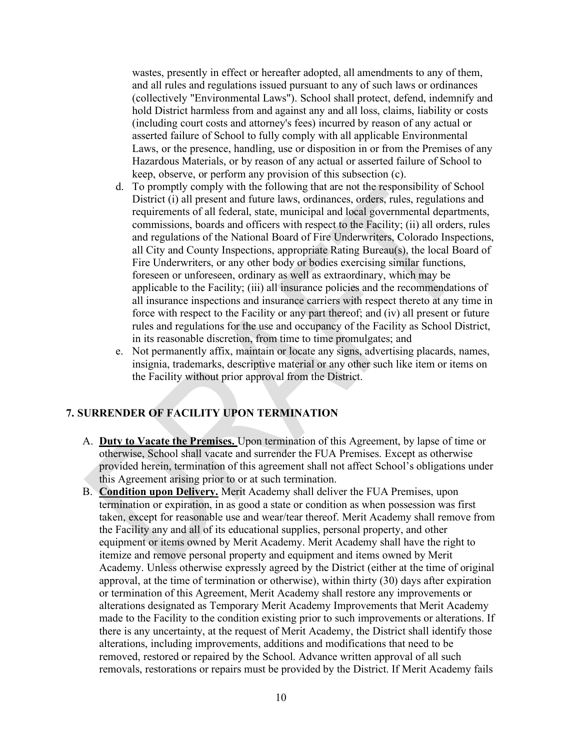wastes, presently in effect or hereafter adopted, all amendments to any of them, and all rules and regulations issued pursuant to any of such laws or ordinances (collectively "Environmental Laws"). School shall protect, defend, indemnify and hold District harmless from and against any and all loss, claims, liability or costs (including court costs and attorney's fees) incurred by reason of any actual or asserted failure of School to fully comply with all applicable Environmental Laws, or the presence, handling, use or disposition in or from the Premises of any Hazardous Materials, or by reason of any actual or asserted failure of School to keep, observe, or perform any provision of this subsection (c).

- d. To promptly comply with the following that are not the responsibility of School District (i) all present and future laws, ordinances, orders, rules, regulations and requirements of all federal, state, municipal and local governmental departments, commissions, boards and officers with respect to the Facility; (ii) all orders, rules and regulations of the National Board of Fire Underwriters, Colorado Inspections, all City and County Inspections, appropriate Rating Bureau(s), the local Board of Fire Underwriters, or any other body or bodies exercising similar functions, foreseen or unforeseen, ordinary as well as extraordinary, which may be applicable to the Facility; (iii) all insurance policies and the recommendations of all insurance inspections and insurance carriers with respect thereto at any time in force with respect to the Facility or any part thereof; and (iv) all present or future rules and regulations for the use and occupancy of the Facility as School District, in its reasonable discretion, from time to time promulgates; and
- e. Not permanently affix, maintain or locate any signs, advertising placards, names, insignia, trademarks, descriptive material or any other such like item or items on the Facility without prior approval from the District.

#### **7. SURRENDER OF FACILITY UPON TERMINATION**

- A. **Duty to Vacate the Premises.** Upon termination of this Agreement, by lapse of time or otherwise, School shall vacate and surrender the FUA Premises. Except as otherwise provided herein, termination of this agreement shall not affect School's obligations under this Agreement arising prior to or at such termination.
- B. **Condition upon Delivery.** Merit Academy shall deliver the FUA Premises, upon termination or expiration, in as good a state or condition as when possession was first taken, except for reasonable use and wear/tear thereof. Merit Academy shall remove from the Facility any and all of its educational supplies, personal property, and other equipment or items owned by Merit Academy. Merit Academy shall have the right to itemize and remove personal property and equipment and items owned by Merit Academy. Unless otherwise expressly agreed by the District (either at the time of original approval, at the time of termination or otherwise), within thirty (30) days after expiration or termination of this Agreement, Merit Academy shall restore any improvements or alterations designated as Temporary Merit Academy Improvements that Merit Academy made to the Facility to the condition existing prior to such improvements or alterations. If there is any uncertainty, at the request of Merit Academy, the District shall identify those alterations, including improvements, additions and modifications that need to be removed, restored or repaired by the School. Advance written approval of all such removals, restorations or repairs must be provided by the District. If Merit Academy fails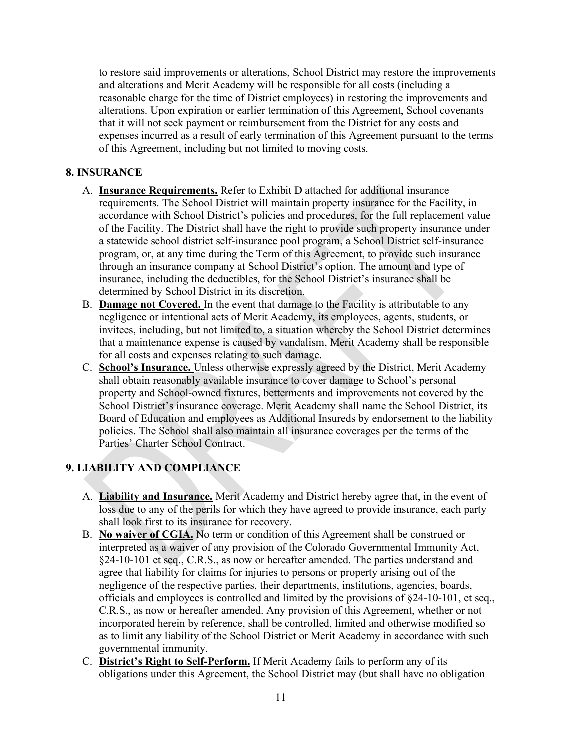to restore said improvements or alterations, School District may restore the improvements and alterations and Merit Academy will be responsible for all costs (including a reasonable charge for the time of District employees) in restoring the improvements and alterations. Upon expiration or earlier termination of this Agreement, School covenants that it will not seek payment or reimbursement from the District for any costs and expenses incurred as a result of early termination of this Agreement pursuant to the terms of this Agreement, including but not limited to moving costs.

## **8. INSURANCE**

- A. **Insurance Requirements.** Refer to Exhibit D attached for additional insurance requirements. The School District will maintain property insurance for the Facility, in accordance with School District's policies and procedures, for the full replacement value of the Facility. The District shall have the right to provide such property insurance under a statewide school district self-insurance pool program, a School District self-insurance program, or, at any time during the Term of this Agreement, to provide such insurance through an insurance company at School District's option. The amount and type of insurance, including the deductibles, for the School District's insurance shall be determined by School District in its discretion.
- B. **Damage not Covered.** In the event that damage to the Facility is attributable to any negligence or intentional acts of Merit Academy, its employees, agents, students, or invitees, including, but not limited to, a situation whereby the School District determines that a maintenance expense is caused by vandalism, Merit Academy shall be responsible for all costs and expenses relating to such damage.
- C. **School's Insurance.** Unless otherwise expressly agreed by the District, Merit Academy shall obtain reasonably available insurance to cover damage to School's personal property and School-owned fixtures, betterments and improvements not covered by the School District's insurance coverage. Merit Academy shall name the School District, its Board of Education and employees as Additional Insureds by endorsement to the liability policies. The School shall also maintain all insurance coverages per the terms of the Parties' Charter School Contract.

# **9. LIABILITY AND COMPLIANCE**

- A. **Liability and Insurance.** Merit Academy and District hereby agree that, in the event of loss due to any of the perils for which they have agreed to provide insurance, each party shall look first to its insurance for recovery.
- B. **No waiver of CGIA.** No term or condition of this Agreement shall be construed or interpreted as a waiver of any provision of the Colorado Governmental Immunity Act, §24-10-101 et seq., C.R.S., as now or hereafter amended. The parties understand and agree that liability for claims for injuries to persons or property arising out of the negligence of the respective parties, their departments, institutions, agencies, boards, officials and employees is controlled and limited by the provisions of §24-10-101, et seq., C.R.S., as now or hereafter amended. Any provision of this Agreement, whether or not incorporated herein by reference, shall be controlled, limited and otherwise modified so as to limit any liability of the School District or Merit Academy in accordance with such governmental immunity.
- C. **District's Right to Self-Perform.** If Merit Academy fails to perform any of its obligations under this Agreement, the School District may (but shall have no obligation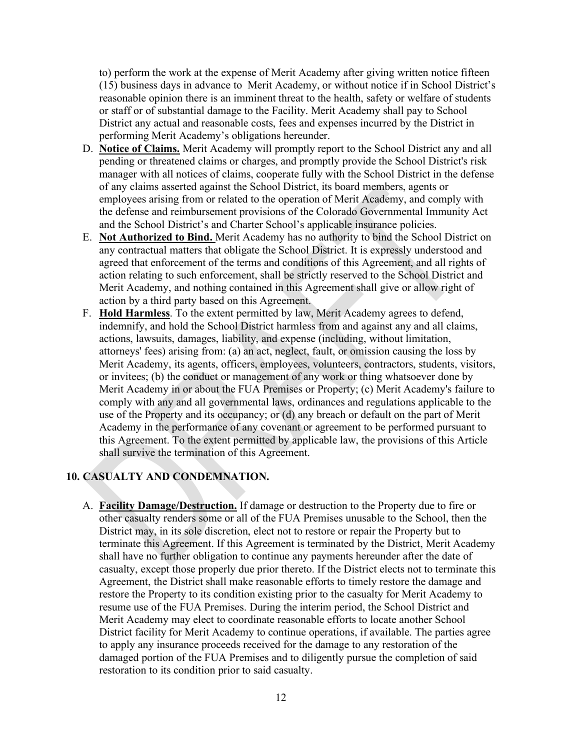to) perform the work at the expense of Merit Academy after giving written notice fifteen (15) business days in advance to Merit Academy, or without notice if in School District's reasonable opinion there is an imminent threat to the health, safety or welfare of students or staff or of substantial damage to the Facility. Merit Academy shall pay to School District any actual and reasonable costs, fees and expenses incurred by the District in performing Merit Academy's obligations hereunder.

- D. **Notice of Claims.** Merit Academy will promptly report to the School District any and all pending or threatened claims or charges, and promptly provide the School District's risk manager with all notices of claims, cooperate fully with the School District in the defense of any claims asserted against the School District, its board members, agents or employees arising from or related to the operation of Merit Academy, and comply with the defense and reimbursement provisions of the Colorado Governmental Immunity Act and the School District's and Charter School's applicable insurance policies.
- E. **Not Authorized to Bind.** Merit Academy has no authority to bind the School District on any contractual matters that obligate the School District. It is expressly understood and agreed that enforcement of the terms and conditions of this Agreement, and all rights of action relating to such enforcement, shall be strictly reserved to the School District and Merit Academy, and nothing contained in this Agreement shall give or allow right of action by a third party based on this Agreement.
- F. **Hold Harmless**. To the extent permitted by law, Merit Academy agrees to defend, indemnify, and hold the School District harmless from and against any and all claims, actions, lawsuits, damages, liability, and expense (including, without limitation, attorneys' fees) arising from: (a) an act, neglect, fault, or omission causing the loss by Merit Academy, its agents, officers, employees, volunteers, contractors, students, visitors, or invitees; (b) the conduct or management of any work or thing whatsoever done by Merit Academy in or about the FUA Premises or Property; (c) Merit Academy's failure to comply with any and all governmental laws, ordinances and regulations applicable to the use of the Property and its occupancy; or (d) any breach or default on the part of Merit Academy in the performance of any covenant or agreement to be performed pursuant to this Agreement. To the extent permitted by applicable law, the provisions of this Article shall survive the termination of this Agreement.

## **10. CASUALTY AND CONDEMNATION.**

A. **Facility Damage/Destruction.** If damage or destruction to the Property due to fire or other casualty renders some or all of the FUA Premises unusable to the School, then the District may, in its sole discretion, elect not to restore or repair the Property but to terminate this Agreement. If this Agreement is terminated by the District, Merit Academy shall have no further obligation to continue any payments hereunder after the date of casualty, except those properly due prior thereto. If the District elects not to terminate this Agreement, the District shall make reasonable efforts to timely restore the damage and restore the Property to its condition existing prior to the casualty for Merit Academy to resume use of the FUA Premises. During the interim period, the School District and Merit Academy may elect to coordinate reasonable efforts to locate another School District facility for Merit Academy to continue operations, if available. The parties agree to apply any insurance proceeds received for the damage to any restoration of the damaged portion of the FUA Premises and to diligently pursue the completion of said restoration to its condition prior to said casualty.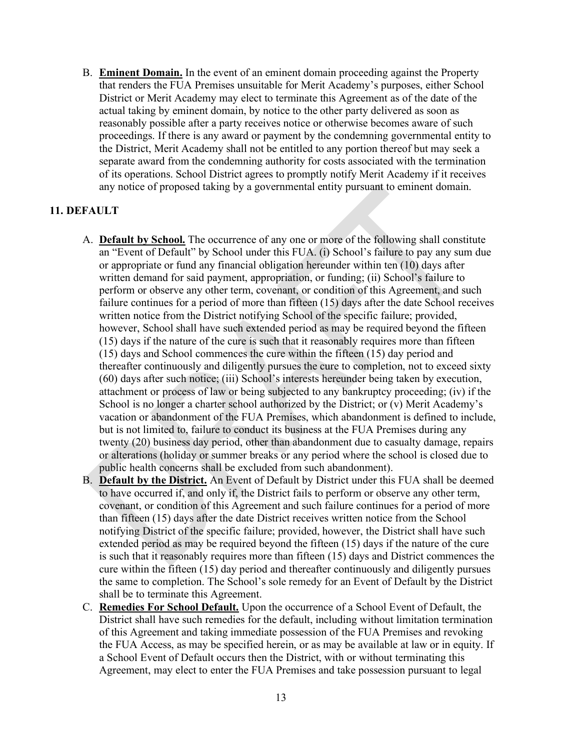B. **Eminent Domain.** In the event of an eminent domain proceeding against the Property that renders the FUA Premises unsuitable for Merit Academy's purposes, either School District or Merit Academy may elect to terminate this Agreement as of the date of the actual taking by eminent domain, by notice to the other party delivered as soon as reasonably possible after a party receives notice or otherwise becomes aware of such proceedings. If there is any award or payment by the condemning governmental entity to the District, Merit Academy shall not be entitled to any portion thereof but may seek a separate award from the condemning authority for costs associated with the termination of its operations. School District agrees to promptly notify Merit Academy if it receives any notice of proposed taking by a governmental entity pursuant to eminent domain.

#### **11. DEFAULT**

- A. **Default by School.** The occurrence of any one or more of the following shall constitute an "Event of Default" by School under this FUA. (i) School's failure to pay any sum due or appropriate or fund any financial obligation hereunder within ten (10) days after written demand for said payment, appropriation, or funding; (ii) School's failure to perform or observe any other term, covenant, or condition of this Agreement, and such failure continues for a period of more than fifteen (15) days after the date School receives written notice from the District notifying School of the specific failure; provided, however, School shall have such extended period as may be required beyond the fifteen (15) days if the nature of the cure is such that it reasonably requires more than fifteen (15) days and School commences the cure within the fifteen (15) day period and thereafter continuously and diligently pursues the cure to completion, not to exceed sixty (60) days after such notice; (iii) School's interests hereunder being taken by execution, attachment or process of law or being subjected to any bankruptcy proceeding; (iv) if the School is no longer a charter school authorized by the District; or (v) Merit Academy's vacation or abandonment of the FUA Premises, which abandonment is defined to include, but is not limited to, failure to conduct its business at the FUA Premises during any twenty (20) business day period, other than abandonment due to casualty damage, repairs or alterations (holiday or summer breaks or any period where the school is closed due to public health concerns shall be excluded from such abandonment).
- B. **Default by the District.** An Event of Default by District under this FUA shall be deemed to have occurred if, and only if, the District fails to perform or observe any other term, covenant, or condition of this Agreement and such failure continues for a period of more than fifteen (15) days after the date District receives written notice from the School notifying District of the specific failure; provided, however, the District shall have such extended period as may be required beyond the fifteen (15) days if the nature of the cure is such that it reasonably requires more than fifteen (15) days and District commences the cure within the fifteen (15) day period and thereafter continuously and diligently pursues the same to completion. The School's sole remedy for an Event of Default by the District shall be to terminate this Agreement.
- C. **Remedies For School Default.** Upon the occurrence of a School Event of Default, the District shall have such remedies for the default, including without limitation termination of this Agreement and taking immediate possession of the FUA Premises and revoking the FUA Access, as may be specified herein, or as may be available at law or in equity. If a School Event of Default occurs then the District, with or without terminating this Agreement, may elect to enter the FUA Premises and take possession pursuant to legal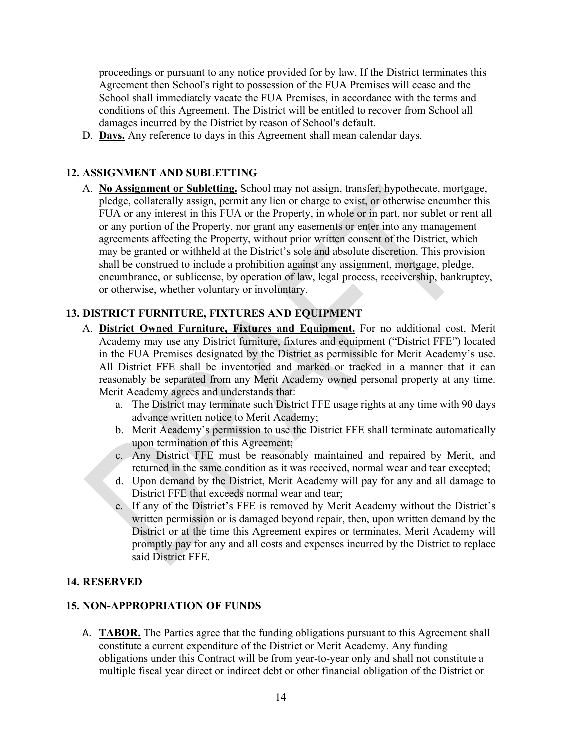proceedings or pursuant to any notice provided for by law. If the District terminates this Agreement then School's right to possession of the FUA Premises will cease and the School shall immediately vacate the FUA Premises, in accordance with the terms and conditions of this Agreement. The District will be entitled to recover from School all damages incurred by the District by reason of School's default.

D. **Days.** Any reference to days in this Agreement shall mean calendar days.

## **12. ASSIGNMENT AND SUBLETTING**

A. **No Assignment or Subletting.** School may not assign, transfer, hypothecate, mortgage, pledge, collaterally assign, permit any lien or charge to exist, or otherwise encumber this FUA or any interest in this FUA or the Property, in whole or in part, nor sublet or rent all or any portion of the Property, nor grant any easements or enter into any management agreements affecting the Property, without prior written consent of the District, which may be granted or withheld at the District's sole and absolute discretion. This provision shall be construed to include a prohibition against any assignment, mortgage, pledge, encumbrance, or sublicense, by operation of law, legal process, receivership, bankruptcy, or otherwise, whether voluntary or involuntary.

## **13. DISTRICT FURNITURE, FIXTURES AND EQUIPMENT**

- A. **District Owned Furniture, Fixtures and Equipment.** For no additional cost, Merit Academy may use any District furniture, fixtures and equipment ("District FFE") located in the FUA Premises designated by the District as permissible for Merit Academy's use. All District FFE shall be inventoried and marked or tracked in a manner that it can reasonably be separated from any Merit Academy owned personal property at any time. Merit Academy agrees and understands that:
	- a. The District may terminate such District FFE usage rights at any time with 90 days advance written notice to Merit Academy;
	- b. Merit Academy's permission to use the District FFE shall terminate automatically upon termination of this Agreement;
	- c. Any District FFE must be reasonably maintained and repaired by Merit, and returned in the same condition as it was received, normal wear and tear excepted;
	- d. Upon demand by the District, Merit Academy will pay for any and all damage to District FFE that exceeds normal wear and tear;
	- e. If any of the District's FFE is removed by Merit Academy without the District's written permission or is damaged beyond repair, then, upon written demand by the District or at the time this Agreement expires or terminates, Merit Academy will promptly pay for any and all costs and expenses incurred by the District to replace said District FFE.

#### **14. RESERVED**

#### **15. NON-APPROPRIATION OF FUNDS**

A. **TABOR.** The Parties agree that the funding obligations pursuant to this Agreement shall constitute a current expenditure of the District or Merit Academy. Any funding obligations under this Contract will be from year-to-year only and shall not constitute a multiple fiscal year direct or indirect debt or other financial obligation of the District or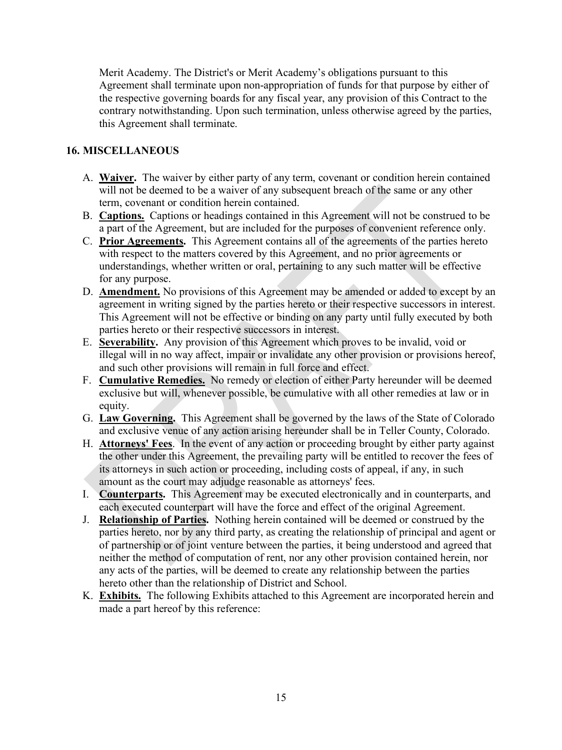Merit Academy. The District's or Merit Academy's obligations pursuant to this Agreement shall terminate upon non-appropriation of funds for that purpose by either of the respective governing boards for any fiscal year, any provision of this Contract to the contrary notwithstanding. Upon such termination, unless otherwise agreed by the parties, this Agreement shall terminate.

# **16. MISCELLANEOUS**

- A. **Waiver.** The waiver by either party of any term, covenant or condition herein contained will not be deemed to be a waiver of any subsequent breach of the same or any other term, covenant or condition herein contained.
- B. **Captions.** Captions or headings contained in this Agreement will not be construed to be a part of the Agreement, but are included for the purposes of convenient reference only.
- C. **Prior Agreements.** This Agreement contains all of the agreements of the parties hereto with respect to the matters covered by this Agreement, and no prior agreements or understandings, whether written or oral, pertaining to any such matter will be effective for any purpose.
- D. **Amendment.** No provisions of this Agreement may be amended or added to except by an agreement in writing signed by the parties hereto or their respective successors in interest. This Agreement will not be effective or binding on any party until fully executed by both parties hereto or their respective successors in interest.
- E. **Severability.** Any provision of this Agreement which proves to be invalid, void or illegal will in no way affect, impair or invalidate any other provision or provisions hereof, and such other provisions will remain in full force and effect.
- F. **Cumulative Remedies.** No remedy or election of either Party hereunder will be deemed exclusive but will, whenever possible, be cumulative with all other remedies at law or in equity.
- G. **Law Governing.** This Agreement shall be governed by the laws of the State of Colorado and exclusive venue of any action arising hereunder shall be in Teller County, Colorado.
- H. **Attorneys' Fees**. In the event of any action or proceeding brought by either party against the other under this Agreement, the prevailing party will be entitled to recover the fees of its attorneys in such action or proceeding, including costs of appeal, if any, in such amount as the court may adjudge reasonable as attorneys' fees.
- I. **Counterparts.** This Agreement may be executed electronically and in counterparts, and each executed counterpart will have the force and effect of the original Agreement.
- J. **Relationship of Parties.** Nothing herein contained will be deemed or construed by the parties hereto, nor by any third party, as creating the relationship of principal and agent or of partnership or of joint venture between the parties, it being understood and agreed that neither the method of computation of rent, nor any other provision contained herein, nor any acts of the parties, will be deemed to create any relationship between the parties hereto other than the relationship of District and School.
- K. **Exhibits.** The following Exhibits attached to this Agreement are incorporated herein and made a part hereof by this reference: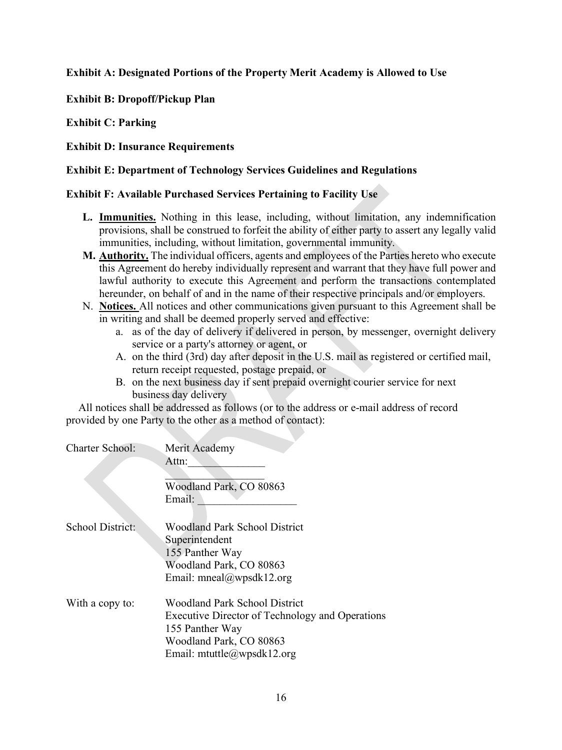## **Exhibit A: Designated Portions of the Property Merit Academy is Allowed to Use**

**Exhibit B: Dropoff/Pickup Plan**

**Exhibit C: Parking** 

**Exhibit D: Insurance Requirements** 

## **Exhibit E: Department of Technology Services Guidelines and Regulations**

## **Exhibit F: Available Purchased Services Pertaining to Facility Use**

- **L. Immunities.** Nothing in this lease, including, without limitation, any indemnification provisions, shall be construed to forfeit the ability of either party to assert any legally valid immunities, including, without limitation, governmental immunity.
- **M. Authority.** The individual officers, agents and employees of the Parties hereto who execute this Agreement do hereby individually represent and warrant that they have full power and lawful authority to execute this Agreement and perform the transactions contemplated hereunder, on behalf of and in the name of their respective principals and/or employers.
- N. **Notices.** All notices and other communications given pursuant to this Agreement shall be in writing and shall be deemed properly served and effective:
	- a. as of the day of delivery if delivered in person, by messenger, overnight delivery service or a party's attorney or agent, or
	- A. on the third (3rd) day after deposit in the U.S. mail as registered or certified mail, return receipt requested, postage prepaid, or
	- B. on the next business day if sent prepaid overnight courier service for next business day delivery

 All notices shall be addressed as follows (or to the address or e-mail address of record provided by one Party to the other as a method of contact):

| <b>Charter School:</b>  | Merit Academy                                   |
|-------------------------|-------------------------------------------------|
|                         | Attn:                                           |
|                         |                                                 |
|                         | Woodland Park, CO 80863                         |
|                         | Email:                                          |
|                         |                                                 |
| <b>School District:</b> | <b>Woodland Park School District</b>            |
|                         | Superintendent                                  |
|                         | 155 Panther Way                                 |
|                         | Woodland Park, CO 80863                         |
|                         | Email: mneal@wpsdk12.org                        |
| With a copy to:         | Woodland Park School District                   |
|                         | Executive Director of Technology and Operations |
|                         |                                                 |
|                         |                                                 |
|                         | Email: mtuttle@wpsdk12.org                      |
|                         | 155 Panther Way<br>Woodland Park, CO 80863      |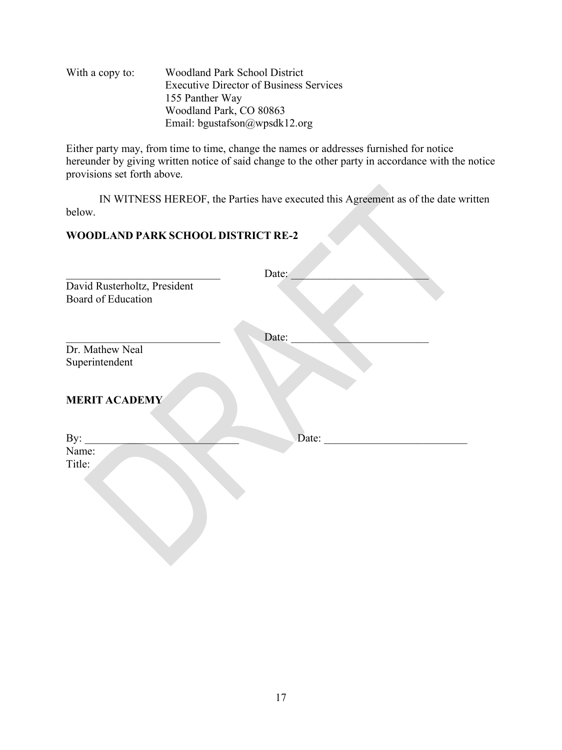| With a copy to: | <b>Woodland Park School District</b>           |
|-----------------|------------------------------------------------|
|                 | <b>Executive Director of Business Services</b> |
|                 | 155 Panther Way                                |
|                 | Woodland Park, CO 80863                        |
|                 | Email: bgustafson@wpsdk12.org                  |

Either party may, from time to time, change the names or addresses furnished for notice hereunder by giving written notice of said change to the other party in accordance with the notice provisions set forth above.

IN WITNESS HEREOF, the Parties have executed this Agreement as of the date written below.

## **WOODLAND PARK SCHOOL DISTRICT RE-2**

|                              | Date: |
|------------------------------|-------|
| David Rusterholtz, President |       |
| <b>Board of Education</b>    |       |
|                              |       |
| Dr. Mathew Neal              | Date: |
| Superintendent               |       |
|                              |       |
| <b>MERIT ACADEMY</b>         |       |
| By:                          | Date: |
| Name:                        |       |
| Title:                       |       |
|                              |       |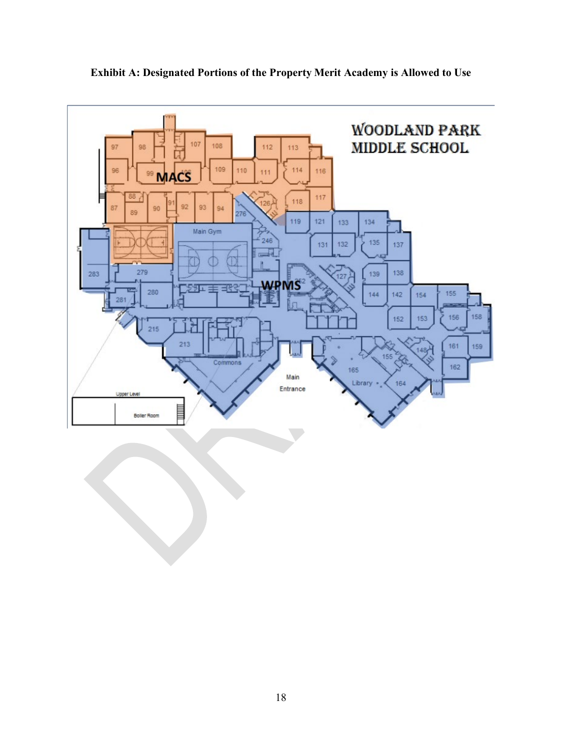

**Exhibit A: Designated Portions of the Property Merit Academy is Allowed to Use**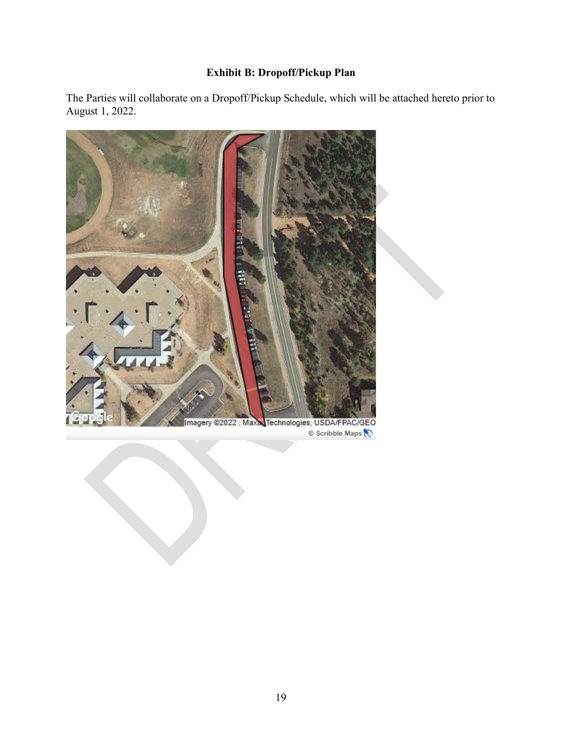# **Exhibit B: Dropoff/Pickup Plan**

The Parties will collaborate on a Dropoff/Pickup Schedule, which will be attached hereto prior to August 1, 2022.



Scribble Maps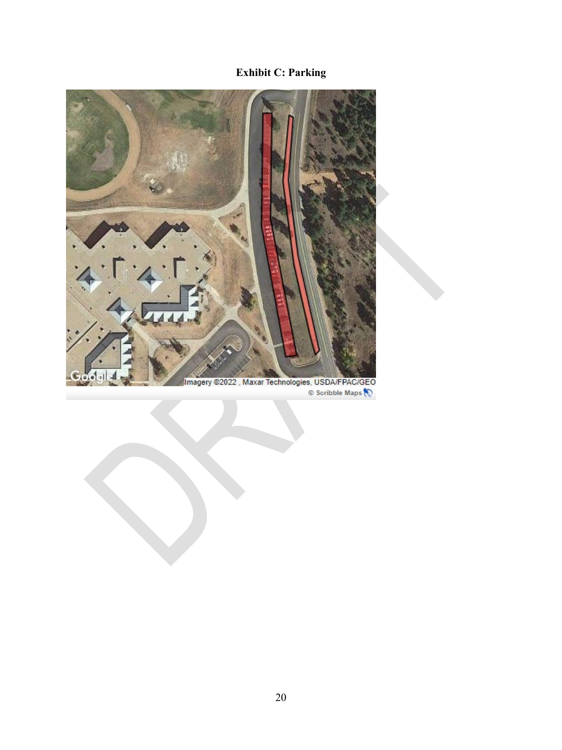# **Exhibit C: Parking**



Scribble Maps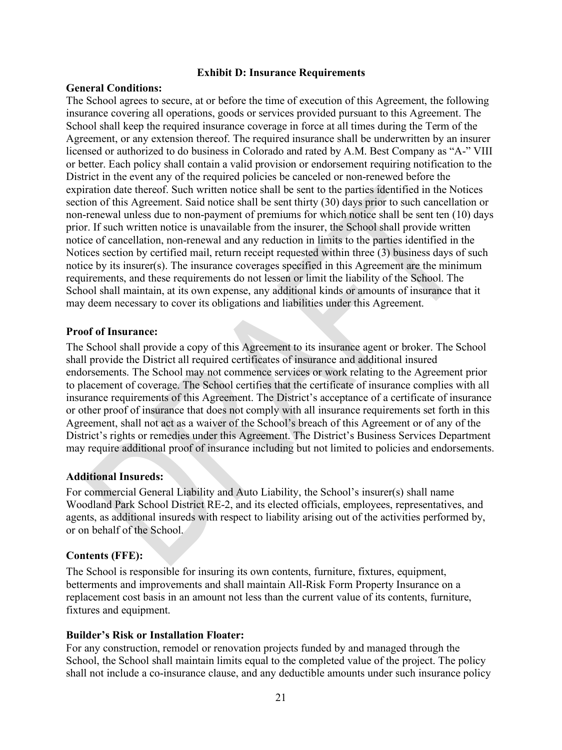#### **Exhibit D: Insurance Requirements**

#### **General Conditions:**

The School agrees to secure, at or before the time of execution of this Agreement, the following insurance covering all operations, goods or services provided pursuant to this Agreement. The School shall keep the required insurance coverage in force at all times during the Term of the Agreement, or any extension thereof. The required insurance shall be underwritten by an insurer licensed or authorized to do business in Colorado and rated by A.M. Best Company as "A-" VIII or better. Each policy shall contain a valid provision or endorsement requiring notification to the District in the event any of the required policies be canceled or non-renewed before the expiration date thereof. Such written notice shall be sent to the parties identified in the Notices section of this Agreement. Said notice shall be sent thirty (30) days prior to such cancellation or non-renewal unless due to non-payment of premiums for which notice shall be sent ten (10) days prior. If such written notice is unavailable from the insurer, the School shall provide written notice of cancellation, non-renewal and any reduction in limits to the parties identified in the Notices section by certified mail, return receipt requested within three (3) business days of such notice by its insurer(s). The insurance coverages specified in this Agreement are the minimum requirements, and these requirements do not lessen or limit the liability of the School. The School shall maintain, at its own expense, any additional kinds or amounts of insurance that it may deem necessary to cover its obligations and liabilities under this Agreement.

#### **Proof of Insurance:**

The School shall provide a copy of this Agreement to its insurance agent or broker. The School shall provide the District all required certificates of insurance and additional insured endorsements. The School may not commence services or work relating to the Agreement prior to placement of coverage. The School certifies that the certificate of insurance complies with all insurance requirements of this Agreement. The District's acceptance of a certificate of insurance or other proof of insurance that does not comply with all insurance requirements set forth in this Agreement, shall not act as a waiver of the School's breach of this Agreement or of any of the District's rights or remedies under this Agreement. The District's Business Services Department may require additional proof of insurance including but not limited to policies and endorsements.

## **Additional Insureds:**

For commercial General Liability and Auto Liability, the School's insurer(s) shall name Woodland Park School District RE-2, and its elected officials, employees, representatives, and agents, as additional insureds with respect to liability arising out of the activities performed by, or on behalf of the School.

## **Contents (FFE):**

The School is responsible for insuring its own contents, furniture, fixtures, equipment, betterments and improvements and shall maintain All-Risk Form Property Insurance on a replacement cost basis in an amount not less than the current value of its contents, furniture, fixtures and equipment.

## **Builder's Risk or Installation Floater:**

For any construction, remodel or renovation projects funded by and managed through the School, the School shall maintain limits equal to the completed value of the project. The policy shall not include a co-insurance clause, and any deductible amounts under such insurance policy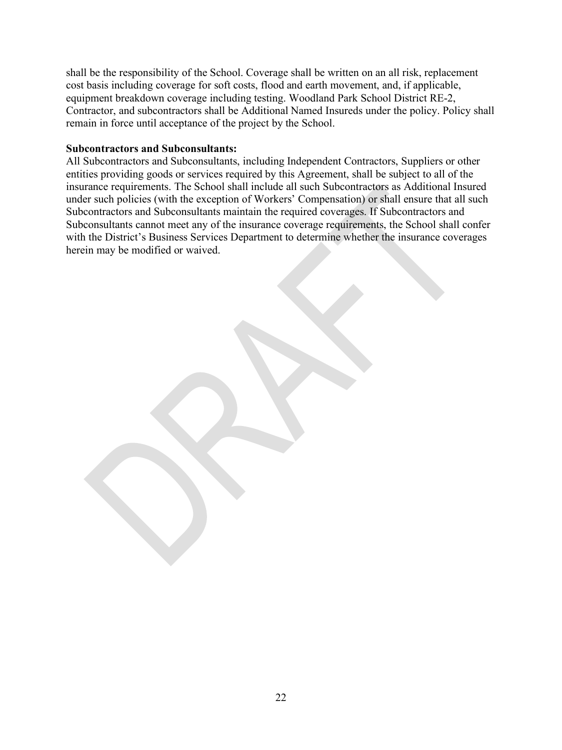shall be the responsibility of the School. Coverage shall be written on an all risk, replacement cost basis including coverage for soft costs, flood and earth movement, and, if applicable, equipment breakdown coverage including testing. Woodland Park School District RE-2, Contractor, and subcontractors shall be Additional Named Insureds under the policy. Policy shall remain in force until acceptance of the project by the School.

#### **Subcontractors and Subconsultants:**

All Subcontractors and Subconsultants, including Independent Contractors, Suppliers or other entities providing goods or services required by this Agreement, shall be subject to all of the insurance requirements. The School shall include all such Subcontractors as Additional Insured under such policies (with the exception of Workers' Compensation) or shall ensure that all such Subcontractors and Subconsultants maintain the required coverages. If Subcontractors and Subconsultants cannot meet any of the insurance coverage requirements, the School shall confer with the District's Business Services Department to determine whether the insurance coverages herein may be modified or waived.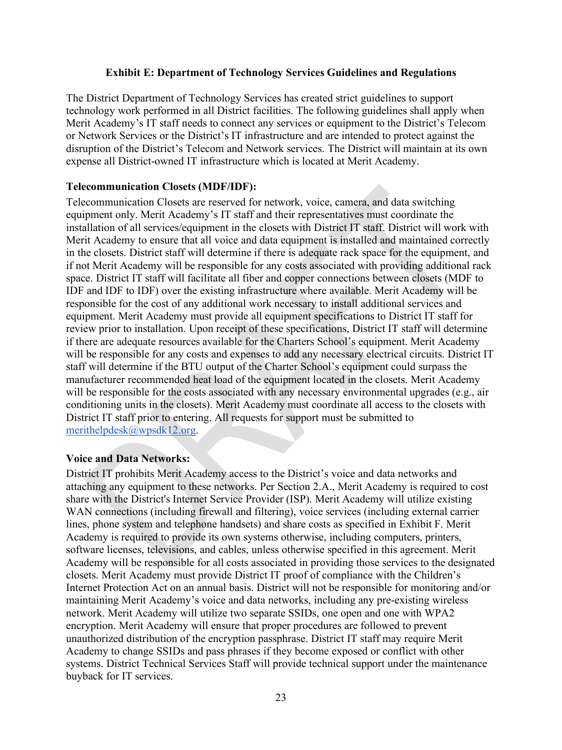#### **Exhibit E: Department of Technology Services Guidelines and Regulations**

The District Department of Technology Services has created strict guidelines to support technology work performed in all District facilities. The following guidelines shall apply when Merit Academy's IT staff needs to connect any services or equipment to the District's Telecom or Network Services or the District's IT infrastructure and are intended to protect against the disruption of the District's Telecom and Network services. The District will maintain at its own expense all District-owned IT infrastructure which is located at Merit Academy.

#### **Telecommunication Closets (MDF/IDF):**

Telecommunication Closets are reserved for network, voice, camera, and data switching equipment only. Merit Academy's IT staff and their representatives must coordinate the installation of all services/equipment in the closets with District IT staff. District will work with Merit Academy to ensure that all voice and data equipment is installed and maintained correctly in the closets. District staff will determine if there is adequate rack space for the equipment, and if not Merit Academy will be responsible for any costs associated with providing additional rack space. District IT staff will facilitate all fiber and copper connections between closets (MDF to IDF and IDF to IDF) over the existing infrastructure where available. Merit Academy will be responsible for the cost of any additional work necessary to install additional services and equipment. Merit Academy must provide all equipment specifications to District IT staff for review prior to installation. Upon receipt of these specifications, District IT staff will determine if there are adequate resources available for the Charters School's equipment. Merit Academy will be responsible for any costs and expenses to add any necessary electrical circuits. District IT staff will determine if the BTU output of the Charter School's equipment could surpass the manufacturer recommended heat load of the equipment located in the closets. Merit Academy will be responsible for the costs associated with any necessary environmental upgrades (e.g., air conditioning units in the closets). Merit Academy must coordinate all access to the closets with District IT staff prior to entering. All requests for support must be submitted to merithelpdesk@wpsdk12.org.

#### **Voice and Data Networks:**

District IT prohibits Merit Academy access to the District's voice and data networks and attaching any equipment to these networks. Per Section 2.A., Merit Academy is required to cost share with the District's Internet Service Provider (ISP). Merit Academy will utilize existing WAN connections (including firewall and filtering), voice services (including external carrier lines, phone system and telephone handsets) and share costs as specified in Exhibit F. Merit Academy is required to provide its own systems otherwise, including computers, printers, software licenses, televisions, and cables, unless otherwise specified in this agreement. Merit Academy will be responsible for all costs associated in providing those services to the designated closets. Merit Academy must provide District IT proof of compliance with the Children's Internet Protection Act on an annual basis. District will not be responsible for monitoring and/or maintaining Merit Academy's voice and data networks, including any pre-existing wireless network. Merit Academy will utilize two separate SSIDs, one open and one with WPA2 encryption. Merit Academy will ensure that proper procedures are followed to prevent unauthorized distribution of the encryption passphrase. District IT staff may require Merit Academy to change SSIDs and pass phrases if they become exposed or conflict with other systems. District Technical Services Staff will provide technical support under the maintenance buyback for IT services.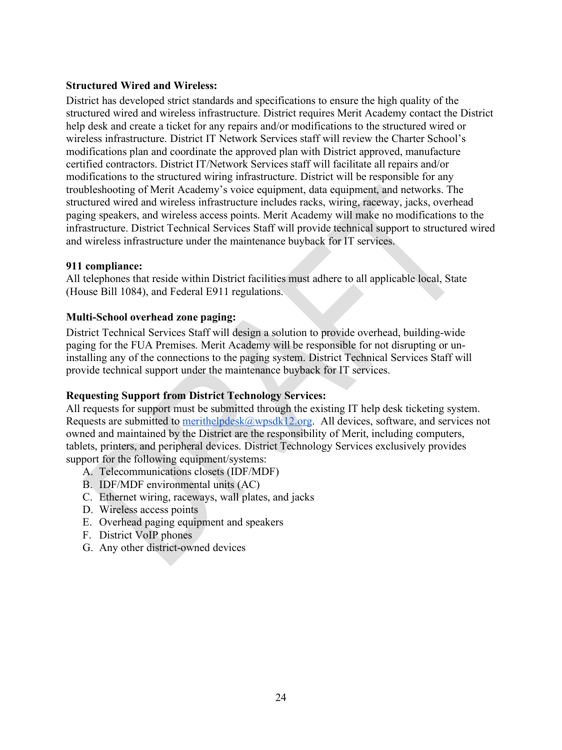### **Structured Wired and Wireless:**

District has developed strict standards and specifications to ensure the high quality of the structured wired and wireless infrastructure. District requires Merit Academy contact the District help desk and create a ticket for any repairs and/or modifications to the structured wired or wireless infrastructure. District IT Network Services staff will review the Charter School's modifications plan and coordinate the approved plan with District approved, manufacture certified contractors. District IT/Network Services staff will facilitate all repairs and/or modifications to the structured wiring infrastructure. District will be responsible for any troubleshooting of Merit Academy's voice equipment, data equipment, and networks. The structured wired and wireless infrastructure includes racks, wiring, raceway, jacks, overhead paging speakers, and wireless access points. Merit Academy will make no modifications to the infrastructure. District Technical Services Staff will provide technical support to structured wired and wireless infrastructure under the maintenance buyback for IT services.

#### **911 compliance:**

All telephones that reside within District facilities must adhere to all applicable local, State (House Bill 1084), and Federal E911 regulations.

## **Multi-School overhead zone paging:**

District Technical Services Staff will design a solution to provide overhead, building-wide paging for the FUA Premises. Merit Academy will be responsible for not disrupting or uninstalling any of the connections to the paging system. District Technical Services Staff will provide technical support under the maintenance buyback for IT services.

## **Requesting Support from District Technology Services:**

All requests for support must be submitted through the existing IT help desk ticketing system. Requests are submitted to merithelpdesk $@$ wpsdk12.org. All devices, software, and services not owned and maintained by the District are the responsibility of Merit, including computers, tablets, printers, and peripheral devices. District Technology Services exclusively provides support for the following equipment/systems:

- A. Telecommunications closets (IDF/MDF)
- B. IDF/MDF environmental units (AC)
- C. Ethernet wiring, raceways, wall plates, and jacks
- D. Wireless access points
- E. Overhead paging equipment and speakers
- F. District VoIP phones
- G. Any other district-owned devices